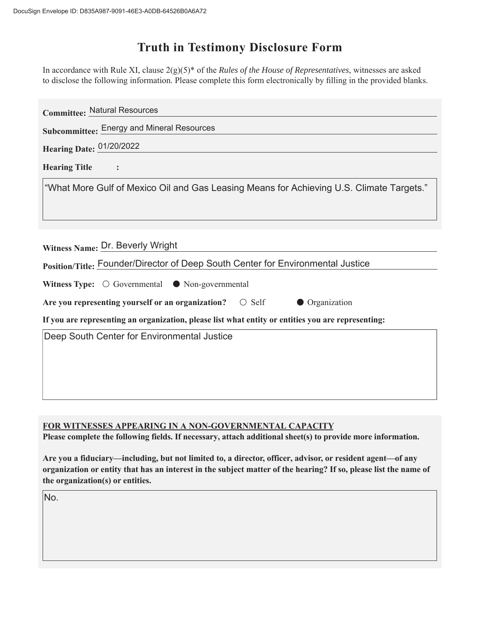## **Truth in Testimony Disclosure Form**

In accordance with Rule XI, clause 2(g)(5)\* of the *Rules of the House of Representatives*, witnesses are asked to disclose the following information. Please complete this form electronically by filling in the provided blanks.

| <b>Committee: Natural Resources</b>                                                                |
|----------------------------------------------------------------------------------------------------|
| Subcommittee: Energy and Mineral Resources                                                         |
| Hearing Date: 01/20/2022                                                                           |
| <b>Hearing Title</b>                                                                               |
| "What More Gulf of Mexico Oil and Gas Leasing Means for Achieving U.S. Climate Targets."           |
| Witness Name: Dr. Beverly Wright                                                                   |
| Position/Title: Founder/Director of Deep South Center for Environmental Justice                    |
| Witness Type: $\bigcirc$ Governmental $\bullet$ Non-governmental                                   |
| Are you representing yourself or an organization? $\circ$ Self<br>• Organization                   |
| If you are representing an organization, please list what entity or entities you are representing: |
| Deep South Center for Environmental Justice                                                        |
|                                                                                                    |
|                                                                                                    |
|                                                                                                    |

**FOR WITNESSES APPEARING IN A NON-GOVERNMENTAL CAPACITY** 

Please complete the following fields. If necessary, attach additional sheet(s) to provide more information.

Are you a fiduciary—including, but not limited to, a director, officer, advisor, or resident agent—of any organization or entity that has an interest in the subject matter of the hearing? If so, please list the name of **the organization(s) or entities.**

No.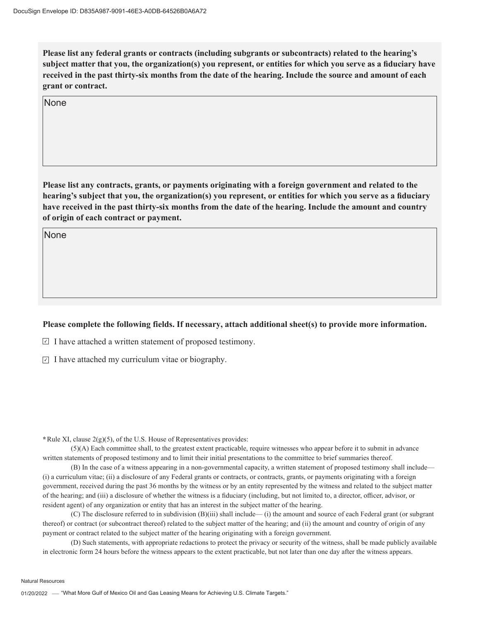Please list any federal grants or contracts (including subgrants or subcontracts) related to the hearing's subject matter that you, the organization(s) you represent, or entities for which you serve as a fiduciary have received in the past thirty-six months from the date of the hearing. Include the source and amount of each **grant or contract.** 

None

Please list any contracts, grants, or payments originating with a foreign government and related to the hearing's subject that you, the organization(s) you represent, or entities for which you serve as a fiduciary have received in the past thirty-six months from the date of the hearing. Include the amount and country **of origin of each contract or payment.** 

**None** 

## Please complete the following fields. If necessary, attach additional sheet(s) to provide more information.

 $\Box$  I have attached a written statement of proposed testimony.

 $\overline{I}$  I have attached my curriculum vitae or biography.

**\***Rule XI, clause 2(g)(5), of the U.S. House of Representatives provides:

(5)(A) Each committee shall, to the greatest extent practicable, require witnesses who appear before it to submit in advance written statements of proposed testimony and to limit their initial presentations to the committee to brief summaries thereof.

(B) In the case of a witness appearing in a non-governmental capacity, a written statement of proposed testimony shall include— (i) a curriculum vitae; (ii) a disclosure of any Federal grants or contracts, or contracts, grants, or payments originating with a foreign government, received during the past 36 months by the witness or by an entity represented by the witness and related to the subject matter of the hearing; and (iii) a disclosure of whether the witness is a fiduciary (including, but not limited to, a director, officer, advisor, or resident agent) of any organization or entity that has an interest in the subject matter of the hearing.

(C) The disclosure referred to in subdivision (B)(iii) shall include— (i) the amount and source of each Federal grant (or subgrant thereof) or contract (or subcontract thereof) related to the subject matter of the hearing; and (ii) the amount and country of origin of any payment or contract related to the subject matter of the hearing originating with a foreign government.

(D) Such statements, with appropriate redactions to protect the privacy or security of the witness, shall be made publicly available in electronic form 24 hours before the witness appears to the extent practicable, but not later than one day after the witness appears.

Natural Resources